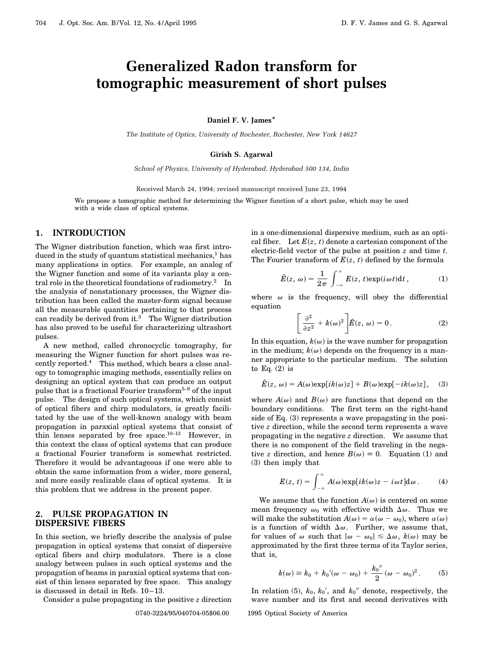# **Generalized Radon transform for tomographic measurement of short pulses**

**Daniel F. V. James\***

*The Institute of Optics, University of Rochester, Rochester, New York 14627*

#### **Girish S. Agarwal**

*School of Physics, University of Hyderabad, Hyderabad 500 134, India*

Received March 24, 1994; revised manuscript received June 23, 1994

We propose a tomographic method for determining the Wigner function of a short pulse, which may be used with a wide class of optical systems.

## **1. INTRODUCTION**

The Wigner distribution function, which was first introduced in the study of quantum statistical mechanics, $<sup>1</sup>$  has</sup> many applications in optics. For example, an analog of the Wigner function and some of its variants play a central role in the theoretical foundations of radiometry.<sup>2</sup> In the analysis of nonstationary processes, the Wigner distribution has been called the master-form signal because all the measurable quantities pertaining to that process can readily be derived from it.<sup>3</sup> The Wigner distribution has also proved to be useful for characterizing ultrashort pulses.

A new method, called chronocyclic tomography, for measuring the Wigner function for short pulses was recently reported.<sup>4</sup> This method, which bears a close analogy to tomographic imaging methods, essentially relies on designing an optical system that can produce an output pulse that is a fractional Fourier transform<sup>5-9</sup> of the input pulse. The design of such optical systems, which consist of optical fibers and chirp modulators, is greatly facilitated by the use of the well-known analogy with beam propagation in paraxial optical systems that consist of thin lenses separated by free space.10–13 However, in this context the class of optical systems that can produce a fractional Fourier transform is somewhat restricted. Therefore it would be advantageous if one were able to obtain the same information from a wider, more general, and more easily realizable class of optical systems. It is this problem that we address in the present paper.

# **2. PULSE PROPAGATION IN DISPERSIVE FIBERS**

In this section, we briefly describe the analysis of pulse propagation in optical systems that consist of dispersive optical fibers and chirp modulators. There is a close analogy between pulses in such optical systems and the propagation of beams in paraxial optical systems that consist of thin lenses separated by free space. This analogy is discussed in detail in Refs. 10–13.

Consider a pulse propagating in the positive *z* direction

0740-3224/95/040704-05\$06.00 1995 Optical Society of America

in a one-dimensional dispersive medium, such as an optical fiber. Let  $E(z, t)$  denote a cartesian component of the electric-field vector of the pulse at position *z* and time *t*. The Fourier transform of  $E(z, t)$  defined by the formula

$$
\tilde{E}(z, \omega) = \frac{1}{2\pi} \int_{-\infty}^{\infty} E(z, t) \exp(i\omega t) dt,
$$
 (1)

where  $\omega$  is the frequency, will obey the differential equation

$$
\left[\frac{\partial^2}{\partial z^2} + k(\omega)^2\right] \tilde{E}(z, \omega) = 0.
$$
 (2)

In this equation,  $k(\omega)$  is the wave number for propagation in the medium;  $k(\omega)$  depends on the frequency in a manner appropriate to the particular medium. The solution to Eq.  $(2)$  is

$$
\tilde{E}(z, \omega) = A(\omega) \exp[i k(\omega) z] + B(\omega) \exp[-ik(\omega) z], \quad (3)
$$

where  $A(\omega)$  and  $B(\omega)$  are functions that depend on the boundary conditions. The first term on the right-hand side of Eq. (3) represents a wave propagating in the positive *z* direction, while the second term represents a wave propagating in the negative *z* direction. We assume that there is no component of the field traveling in the negative *z* direction, and hence  $B(\omega) \equiv 0$ . Equation (1) and (3) then imply that

$$
E(z, t) = \int_{-\infty}^{\infty} A(\omega) \exp[i k(\omega) z - i \omega t] d\omega.
$$
 (4)

We assume that the function  $A(\omega)$  is centered on some mean frequency  $\omega_0$  with effective width  $\Delta \omega$ . Thus we will make the substitution  $A(\omega) = \alpha(\omega - \omega_0)$ , where  $\alpha(\omega)$ is a function of width  $\Delta\omega$ . Further, we assume that, for values of  $\omega$  such that  $|\omega - \omega_0| \leq \Delta \omega$ ,  $k(\omega)$  may be approximated by the first three terms of its Taylor series, that is,

$$
k(\omega) \cong k_0 + k_0'(\omega - \omega_0) + \frac{k_0''}{2}(\omega - \omega_0)^2.
$$
 (5)

In relation (5),  $k_0$ ,  $k_0'$ , and  $k_0''$  denote, respectively, the wave number and its first and second derivatives with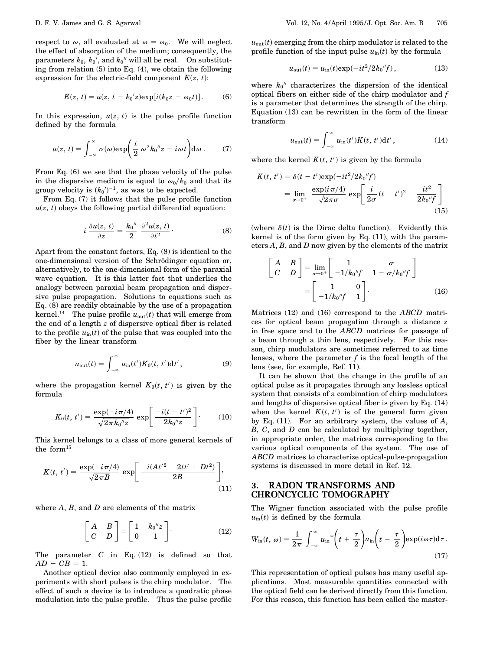respect to  $\omega$ , all evaluated at  $\omega = \omega_0$ . We will neglect the effect of absorption of the medium; consequently, the parameters  $k_0$ ,  $k_0'$ , and  $k_0''$  will all be real. On substituting from relation (5) into Eq. (4), we obtain the following expression for the electric-field component  $E(z, t)$ :

$$
E(z, t) = u(z, t - k_0'z) \exp[i(k_0z - \omega_0t)].
$$
 (6)

In this expression,  $u(z, t)$  is the pulse profile function defined by the formula

$$
u(z, t) = \int_{-\infty}^{\infty} \alpha(\omega) \exp\left(\frac{i}{2} \omega^2 k_0'' z - i \omega t\right) d\omega.
$$
 (7)

From Eq. (6) we see that the phase velocity of the pulse in the dispersive medium is equal to  $\omega_0/k_0$  and that its group velocity is  $(k_0)^{-1}$ , as was to be expected.

From Eq. (7) it follows that the pulse profile function  $u(z, t)$  obeys the following partial differential equation:

$$
i \frac{\partial u(z,\,t)}{\partial z} = \frac{k_0''}{2} \frac{\partial^2 u(z,\,t)}{\partial t^2} \,. \tag{8}
$$

Apart from the constant factors, Eq. (8) is identical to the one-dimensional version of the Schrödinger equation or, alternatively, to the one-dimensional form of the paraxial wave equation. It is this latter fact that underlies the analogy between paraxial beam propagation and dispersive pulse propagation. Solutions to equations such as Eq. (8) are readily obtainable by the use of a propagation kernel.<sup>14</sup> The pulse profile  $u_{\text{out}}(t)$  that will emerge from the end of a length *z* of dispersive optical fiber is related to the profile  $u_{\text{in}}(t)$  of the pulse that was coupled into the fiber by the linear transform

$$
u_{\text{out}}(t) = \int_{-\infty}^{\infty} u_{\text{in}}(t') K_0(t, t') dt', \qquad (9)
$$

where the propagation kernel  $K_0(t, t')$  is given by the formula

$$
K_0(t, t') = \frac{\exp(-i\pi/4)}{\sqrt{2\pi k_0''z}} \exp\left[\frac{-i(t - t')^2}{2k_0''z}\right].
$$
 (10)

This kernel belongs to a class of more general kernels of the form $15$ 

$$
K(t, t') = \frac{\exp(-i\pi/4)}{\sqrt{2\pi B}} \exp\left[\frac{-iAt'^2 - 2tt' + Dt^2}{2B}\right],
$$
\n(11)

where *A*, *B*, and *D* are elements of the matrix

$$
\begin{bmatrix} A & B \\ C & D \end{bmatrix} = \begin{bmatrix} 1 & k_0''z \\ 0 & 1 \end{bmatrix}.
$$
 (12)

The parameter  $C$  in Eq. (12) is defined so that  $AD - CB = 1$ .

Another optical device also commonly employed in experiments with short pulses is the chirp modulator. The effect of such a device is to introduce a quadratic phase modulation into the pulse profile. Thus the pulse profile

 $u_{\text{out}}(t)$  emerging from the chirp modulator is related to the profile function of the input pulse  $u_{\text{in}}(t)$  by the formula

$$
u_{\text{out}}(t) = u_{\text{in}}(t) \exp(-it^2/2k_0''f), \qquad (13)
$$

where  $k_0$ <sup>"</sup> characterizes the dispersion of the identical optical fibers on either side of the chirp modulator and *f* is a parameter that determines the strength of the chirp. Equation (13) can be rewritten in the form of the linear transform

$$
u_{\text{out}}(t) = \int_{-\infty}^{\infty} u_{\text{in}}(t') K(t, t') \mathrm{d}t', \qquad (14)
$$

where the kernel  $K(t, t')$  is given by the formula

$$
K(t, t') = \delta(t - t') \exp(-it^2/2k_0''f)
$$
  
= 
$$
\lim_{\sigma \to 0^+} \frac{\exp(i\pi/4)}{\sqrt{2\pi\sigma}} \exp\left[\frac{i}{2\sigma} (t - t')^2 - \frac{it^2}{2k_0''f}\right]
$$
(15)

(where  $\delta(t)$  is the Dirac delta function). Evidently this kernel is of the form given by Eq. (11), with the parameters *A*, *B*, and *D* now given by the elements of the matrix

$$
\begin{bmatrix} A & B \\ C & D \end{bmatrix} = \lim_{\sigma \to 0^+} \begin{bmatrix} 1 & \sigma \\ -1/k_0''f & 1 - \sigma/k_0''f \end{bmatrix}
$$

$$
= \begin{bmatrix} 1 & 0 \\ -1/k_0''f & 1 \end{bmatrix}.
$$
 (16)

Matrices (12) and (16) correspond to the *ABCD* matrices for optical beam propagation through a distance *z* in free space and to the *ABCD* matrices for passage of a beam through a thin lens, respectively. For this reason, chirp modulators are sometimes referred to as time lenses, where the parameter *f* is the focal length of the lens (see, for example, Ref. 11).

It can be shown that the change in the profile of an optical pulse as it propagates through any lossless optical system that consists of a combination of chirp modulators and lengths of dispersive optical fiber is given by Eq. (14) when the kernel  $K(t, t')$  is of the general form given by Eq. (11). For an arbitrary system, the values of *A*, *B*, *C*, and *D* can be calculated by multiplying together, in appropriate order, the matrices corresponding to the various optical components of the system. The use of *ABCD* matrices to characterize optical-pulse-propagation systems is discussed in more detail in Ref. 12.

## **3. RADON TRANSFORMS AND CHRONCYCLIC TOMOGRAPHY**

The Wigner function associated with the pulse profile  $u_{\text{in}}(t)$  is defined by the formula

$$
W_{\rm in}(t, \omega) = \frac{1}{2\pi} \int_{-\infty}^{\infty} u_{\rm in}^{*} \left(t + \frac{\tau}{2}\right) u_{\rm in}\left(t - \frac{\tau}{2}\right) \exp(i\omega\tau) d\tau.
$$
\n(17)

This representation of optical pulses has many useful applications. Most measurable quantities connected with the optical field can be derived directly from this function. For this reason, this function has been called the master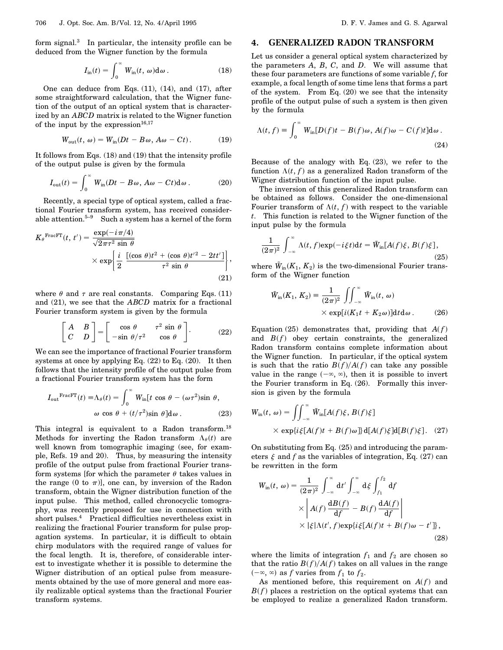form signal.<sup>3</sup> In particular, the intensity profile can be deduced from the Wigner function by the formula

$$
I_{\rm in}(t) = \int_0^\infty W_{\rm in}(t, \omega) d\omega.
$$
 (18)

One can deduce from Eqs. (11), (14), and (17), after some straightforward calculation, that the Wigner function of the output of an optical system that is characterized by an *ABCD* matrix is related to the Wigner function of the input by the expression $16,17$ 

$$
W_{\text{out}}(t, \omega) = W_{\text{in}}(Dt - B\omega, A\omega - Ct). \tag{19}
$$

It follows from Eqs. (18) and (19) that the intensity profile of the output pulse is given by the formula

$$
I_{\text{out}}(t) = \int_0^\infty W_{\text{in}}(Dt - B\omega, A\omega - Ct) \, \mathrm{d}\omega \,. \tag{20}
$$

Recently, a special type of optical system, called a fractional Fourier transform system, has received considerable attention.<sup>5-9</sup> Such a system has a kernel of the form

$$
K_{\theta}^{\text{FracFT}}(t, t') = \frac{\exp(-i\pi/4)}{\sqrt{2\pi\tau^2 \sin \theta}} \times \exp\left\{\frac{i}{2} \frac{\left[ (\cos \theta)t^2 + (\cos \theta)t'^2 - 2tt' \right]}{\tau^2 \sin \theta} \right\},\tag{21}
$$

where  $\theta$  and  $\tau$  are real constants. Comparing Eqs. (11) and (21), we see that the *ABCD* matrix for a fractional Fourier transform system is given by the formula

$$
\begin{bmatrix} A & B \\ C & D \end{bmatrix} = \begin{bmatrix} \cos \theta & \tau^2 \sin \theta \\ -\sin \theta / \tau^2 & \cos \theta \end{bmatrix}.
$$
 (22)

We can see the importance of fractional Fourier transform systems at once by applying Eq. (22) to Eq. (20). It then follows that the intensity profile of the output pulse from a fractional Fourier transform system has the form

$$
I_{\text{out}}^{\text{FracFT}}(t) \equiv \Lambda_{\theta}(t) = \int_0^{\infty} W_{\text{in}}[t \cos \theta - (\omega \tau^2) \sin \theta,
$$
  

$$
\omega \cos \theta + (t/\tau^2) \sin \theta] d\omega.
$$
 (23)

This integral is equivalent to a Radon transform.<sup>18</sup> Methods for inverting the Radon transform  $\Lambda_{\theta}(t)$  are well known from tomographic imaging (see, for example, Refs. 19 and 20). Thus, by measuring the intensity profile of the output pulse from fractional Fourier transform systems [for which the parameter  $\theta$  takes values in the range (0 to  $\pi$ ), one can, by inversion of the Radon transform, obtain the Wigner distribution function of the input pulse. This method, called chronocyclic tomography, was recently proposed for use in connection with short pulses.<sup>4</sup> Practical difficulties nevertheless exist in realizing the fractional Fourier transform for pulse propagation systems. In particular, it is difficult to obtain chirp modulators with the required range of values for the focal length. It is, therefore, of considerable interest to investigate whether it is possible to determine the Wigner distribution of an optical pulse from measurements obtained by the use of more general and more easily realizable optical systems than the fractional Fourier transform systems.

## **4. GENERALIZED RADON TRANSFORM**

Let us consider a general optical system characterized by the parameters *A*, *B*, *C*, and *D*. We will assume that these four parameters are functions of some variable *f*, for example, a focal length of some time lens that forms a part of the system. From Eq.  $(20)$  we see that the intensity profile of the output pulse of such a system is then given by the formula

$$
\Lambda(t,f) = \int_0^\infty W_{\rm in}[D(f)t - B(f)\omega, A(f)\omega - C(f)t]d\omega.
$$
\n(24)

Because of the analogy with Eq.  $(23)$ , we refer to the function  $\Lambda(t, f)$  as a generalized Radon transform of the Wigner distribution function of the input pulse.

The inversion of this generalized Radon transform can be obtained as follows. Consider the one-dimensional Fourier transform of  $\Lambda(t, f)$  with respect to the variable *t*. This function is related to the Wigner function of the input pulse by the formula

$$
\frac{1}{(2\pi)^2} \int_{-\infty}^{\infty} \Lambda(t, f) \exp(-i\xi t) dt = \tilde{W}_{\text{in}}[A(f)\xi, B(f)\xi],\tag{25}
$$

where  $\tilde{W}_{in}(K_1, K_2)$  is the two-dimensional Fourier transform of the Wigner function

$$
\tilde{W}_{\text{in}}(K_1, K_2) = \frac{1}{(2\pi)^2} \iint_{-\infty}^{\infty} \tilde{W}_{\text{in}}(t, \omega) \times \exp[i(K_1t + K_2\omega)] \text{d}t \text{d}\omega.
$$
 (26)

Equation (25) demonstrates that, providing that  $A(f)$ and  $B(f)$  obey certain constraints, the generalized Radon transform contains complete information about the Wigner function. In particular, if the optical system is such that the ratio  $B(f)/A(f)$  can take any possible value in the range  $(-\infty, \infty)$ , then it is possible to invert the Fourier transform in Eq. (26). Formally this inversion is given by the formula

$$
W_{\rm in}(t, \omega) = \iint_{-\infty}^{\infty} \tilde{W}_{\rm in}[A(f)\xi, B(f)\xi]
$$
  
 
$$
\times \exp\{i\xi[A(f)t + B(f)\omega]\} \, d[A(f)\xi] d[B(f)\xi]. \quad (27)
$$

On substituting from Eq. (25) and introducing the parameters  $\xi$  and  $f$  as the variables of integration, Eq. (27) can be rewritten in the form

$$
W_{\rm in}(t, \omega) = \frac{1}{(2\pi)^2} \int_{-\infty}^{\infty} dt' \int_{-\infty}^{\infty} d\xi \int_{f_1}^{f_2} df
$$
  
 
$$
\times \left| A(f) \frac{dB(f)}{df} - B(f) \frac{dA(f)}{df} \right|
$$
  
 
$$
\times \left| \xi | \Lambda(t', f) \exp\{i\xi [A(f)t + B(f)\omega - t'] \}, \right|
$$
(28)

where the limits of integration  $f_1$  and  $f_2$  are chosen so that the ratio  $B(f)/A(f)$  takes on all values in the range  $(-\infty, \infty)$  as *f* varies from  $f_1$  to  $f_2$ .

As mentioned before, this requirement on  $A(f)$  and  $B(f)$  places a restriction on the optical systems that can be employed to realize a generalized Radon transform.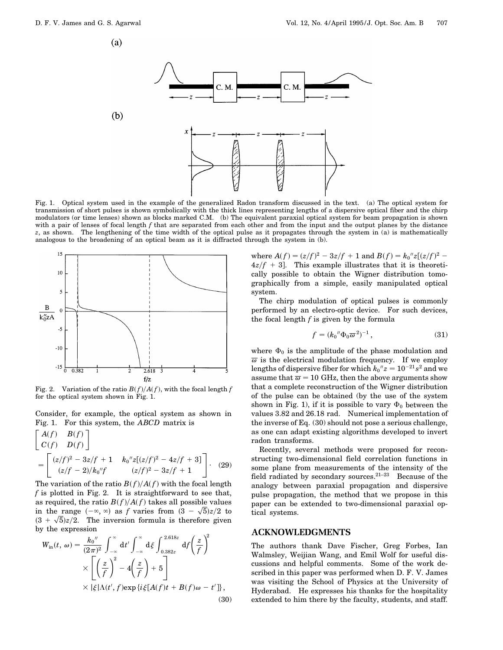$\left( a\right)$ 



Fig. 1. Optical system used in the example of the generalized Radon transform discussed in the text. (a) The optical system for transmission of short pulses is shown symbolically with the thick lines representing lengths of a dispersive optical fiber and the chirp modulators (or time lenses) shown as blocks marked C.M. (b) The equivalent paraxial optical system for beam propagation is shown with a pair of lenses of focal length *f* that are separated from each other and from the input and the output planes by the distance *z*, as shown. The lengthening of the time width of the optical pulse as it propagates through the system in (a) is mathematically analogous to the broadening of an optical beam as it is diffracted through the system in (b).



Fig. 2. Variation of the ratio  $B(f)/A(f)$ , with the focal length *f* for the optical system shown in Fig. 1.

Consider, for example, the optical system as shown in Fig. 1. For this system, the *ABCD* matrix is

$$
\begin{bmatrix}\nA(f) & B(f) \\
C(f) & D(f)\n\end{bmatrix}
$$
\n
$$
= \begin{bmatrix}\n(z/f)^2 - 3z/f + 1 & k_0''z[(z/f)^2 - 4z/f + 3] \\
(z/f - 2)/k_0''f & (z/f)^2 - 3z/f + 1\n\end{bmatrix}.
$$
\n(29)

The variation of the ratio  $B(f)/A(f)$  with the focal length *f* is plotted in Fig. 2. It is straightforward to see that, as required, the ratio  $B(f)/A(f)$  takes all possible values as required, the ratio  $B(f)/A(f)$  takes all possible values<br>in the range  $(-\infty, \infty)$  as f varies from  $(3 - \sqrt{5})z/2$  to in the range  $(-\infty, \infty)$  as *f* varies from  $(3 - \sqrt{5})z/2$  to  $(3 + \sqrt{5})z/2$ . The inversion formula is therefore given by the expression

$$
W_{\rm in}(t, \omega) = \frac{k_0''}{(2\pi)^2} \int_{-\infty}^{\infty} dt' \int_{-\infty}^{\infty} d\xi \int_{0.382z}^{2.618z} df\left(\frac{z}{f}\right)^2
$$
  
 
$$
\times \left[ \left(\frac{z}{f}\right)^2 - 4\left(\frac{z}{f}\right) + 5 \right]
$$
  
 
$$
\times |\xi|\Lambda(t', f) \exp\{i\xi[A(f)t + B(f)\omega - t'\},
$$
  
(30)

where  $A(f) = (z/f)^2 - 3z/f + 1$  and  $B(f) = k_0''z[(z/f)^2 - 1]$  $4z/f + 3$ . This example illustrates that it is theoretically possible to obtain the Wigner distribution tomographically from a simple, easily manipulated optical system.

The chirp modulation of optical pulses is commonly performed by an electro-optic device. For such devices, the focal length *f* is given by the formula

$$
f = (k_0'' \Phi_0 \overline{\omega}^2)^{-1}, \qquad (31)
$$

where  $\Phi_0$  is the amplitude of the phase modulation and  $\overline{\omega}$  is the electrical modulation frequency. If we employ lengths of dispersive fiber for which  $k_0$ " $z = 10^{-21} s^2$  and we assume that  $\overline{\omega} = 10$  GHz, then the above arguments show that a complete reconstruction of the Wigner distribution of the pulse can be obtained (by the use of the system shown in Fig. 1), if it is possible to vary  $\Phi_0$  between the values 3.82 and 26.18 rad. Numerical implementation of the inverse of Eq. (30) should not pose a serious challenge, as one can adapt existing algorithms developed to invert radon transforms.

Recently, several methods were proposed for reconstructing two-dimensional field correlation functions in some plane from measurements of the intensity of the field radiated by secondary sources.<sup>21-23</sup> Because of the analogy between paraxial propagation and dispersive pulse propagation, the method that we propose in this paper can be extended to two-dimensional paraxial optical systems.

## **ACKNOWLEDGMENTS**

The authors thank Dave Fischer, Greg Forbes, Ian Walmsley, Weijian Wang, and Emil Wolf for useful discussions and helpful comments. Some of the work described in this paper was performed when D. F. V. James was visiting the School of Physics at the University of Hyderabad. He expresses his thanks for the hospitality extended to him there by the faculty, students, and staff.